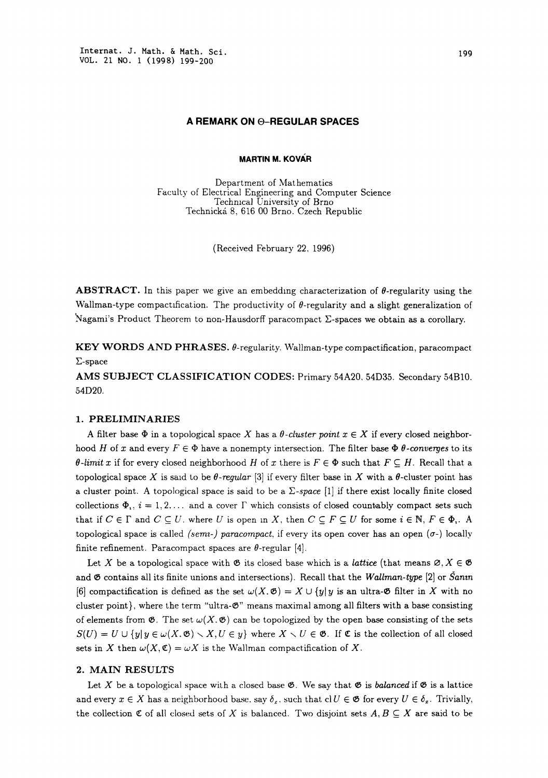## A REMARK ON @-REGULAR SPACES

**MARTIN M. KOVÁR** 

Department of Mathematics Faculty of Electrical Engineering and Computer Science Technical University of Brno Technická 8, 616 00 Brno. Czech Republic

(Received February 22, 1996)

**ABSTRACT.** In this paper we give an embedding characterization of  $\theta$ -regularity using the Wallman-type compactification. The productivity of  $\theta$ -regularity and a slight generalization of Nagami's Product Theorem to non-Hausdorff paracompact  $\Sigma$ -spaces we obtain as a corollary.

KEY WORDS AND PHRASES.  $\theta$ -regularity. Wallman-type compactification, paracompact Z-space

AMS SUBJECT CLASSIFICATION CODES: Primary 54A20, 54D35. Secondary 54B10. 54D20.

## 1. PRELIMINARIES

A filter base  $\Phi$  in a topological space X has a  $\theta$ -cluster point  $x \in X$  if every closed neighborhood H of x and every  $F \in \Phi$  have a nonempty intersection. The filter base  $\Phi$   $\theta$ -converges to its  $\theta$ -limit x if for every closed neighborhood H of x there is  $F \in \Phi$  such that  $F \subseteq H$ . Recall that a topological space X is said to be  $\theta$ -regular [3] if every filter base in X with a  $\theta$ -cluster point has a cluster point. A topological space is said to be a  $\Sigma$ -space [1] if there exist locally finite closed collections  $\Phi_1$ ,  $i = 1, 2, \ldots$  and a cover  $\Gamma$  which consists of closed countably compact sets such that if  $C \in \Gamma$  and  $C \subseteq U$ , where U is open in X, then  $C \subseteq F \subseteq U$  for some  $i \in \mathbb{N}$ ,  $F \in \Phi_i$ . A topological space is called (semi-) paracompact, if every its open cover has an open  $(\sigma)$  locally finite refinement. Paracompact spaces are  $\theta$ -regular [4].

Let X be a topological space with  $\mathfrak{G}$  its closed base which is a *lattice* (that means  $\mathfrak{G}, X \in \mathfrak{G}$ and  $\mathfrak G$  contains all its finite unions and intersections). Recall that the Wallman-type [2] or  $\tilde{S}$ anm [6] compactification is defined as the set  $\omega(X, \mathfrak{G}) = X \cup \{y | y$  is an ultra- $\mathfrak{G}$  filter in X with no cluster point}, where the term "ultra- $\mathfrak{G}$ " means maximal among all filters with a base consisting of elements from  $\mathfrak{G}$ . The set  $\omega(X, \mathfrak{G})$  can be topologized by the open base consisting of the sets  $S(U) = U \cup \{y | y \in \omega(X, \mathfrak{G}) \setminus X, U \in y\}$  where  $X \setminus U \in \mathfrak{G}$ . If  $\mathfrak{C}$  is the collection of all closed sets in X then  $\omega(X, \mathfrak{C}) = \omega X$  is the Wallman compactification of X.

## 2. MAIN RESULTS

Let X be a topological space with a closed base  $\mathfrak{G}$ . We say that  $\mathfrak{G}$  is balanced if  $\mathfrak{G}$  is a lattice and every  $x \in X$  has a neighborhood base, say  $\delta_x$ , such that cl  $U \in \mathfrak{G}$  for every  $U \in \delta_x$ . Trivially, the collection  $\mathfrak C$  of all closed sets of X is balanced. Two disjoint sets  $A, B \subseteq X$  are said to be